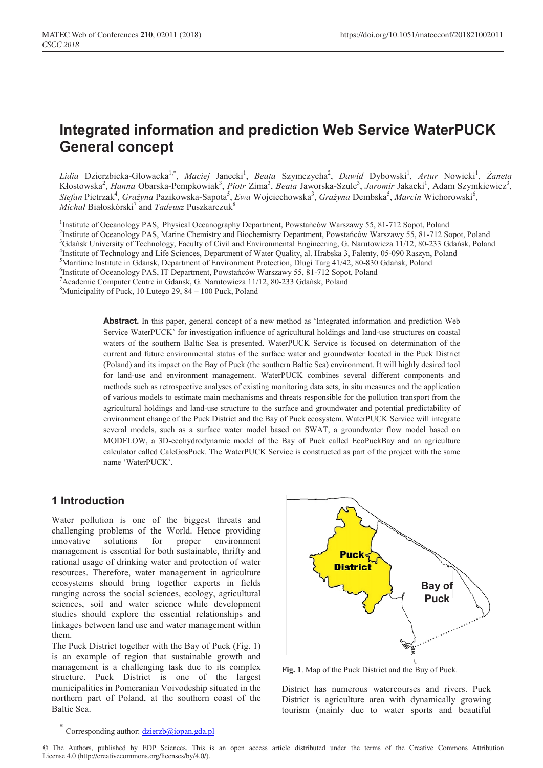# **Integrated information and prediction Web Service WaterPUCK General concept**

Lidia Dzierzbicka-Glowacka<sup>1,\*</sup>, Maciej Janecki<sup>1</sup>, Beata Szymczycha<sup>2</sup>, Dawid Dybowski<sup>1</sup>, Artur Nowicki<sup>1</sup>, Żaneta Kłostowska<sup>2</sup>, *Hanna* Obarska-Pempkowiak<sup>3</sup>, Piotr Zima<sup>3</sup>, Beata Jaworska-Szulc<sup>3</sup>, Jaromir Jakacki<sup>1</sup>, Adam Szymkiewicz<sup>3</sup>, Stefan Pietrzak<sup>4</sup>, *Grażyna* Pazikowska-Sapota<sup>5</sup>, *Ewa* Wojciechowska<sup>3</sup>, *Grażyna* Dembska<sup>5</sup>, *Marcin* Wichorowski<sup>6</sup>, *Michał* Białoskórski<sup>7</sup> and *Tadeusz* Puszkarczuk<sup>8</sup>

<sup>1</sup>Institute of Oceanology PAS, Physical Oceanography Department, Powstańców Warszawy 55, 81-712 Sopot, Poland <sup>2</sup><br><sup>2</sup>Institute of Oceanology PAS, Marine Chemistry and Biochemistry Department, Powstańców Warszawy 55, 81-71 <sup>2</sup>Institute of Oceanology PAS, Marine Chemistry and Biochemistry Department, Powstańców Warszawy 55, 81-712 Sopot, Poland <sup>3</sup>Gdańsk University of Technology, Faculty of Civil and Environmental Engineering, G. Narutowicza 11/12, 80-233 Gdańsk, Poland <sup>4</sup>Institute of Technology and Life Sciences, Department of Water Quality, al. Hrabska 3, Falenty, 05-090 Raszyn, Poland <sup>5</sup>Maritime Institute in Gdansk, Department of Environment Protection, Długi Targ 41/42, 80-830 Gdańsk, Poland <sup>6</sup>Institute of Oceanology PAS, IT Department, Powstańców Warszawy 55, 81-712 Sopot, Poland <sup>7</sup> Academic Computer Centre in Gdansk, G. Narutowicza 11/12, 80-233 Gdańsk, Poland

<sup>8</sup>Municipality of Puck, 10 Lutego 29, 84 – 100 Puck, Poland

**Abstract.** In this paper, general concept of a new method as 'Integrated information and prediction Web Service WaterPUCK' for investigation influence of agricultural holdings and land-use structures on coastal waters of the southern Baltic Sea is presented. WaterPUCK Service is focused on determination of the current and future environmental status of the surface water and groundwater located in the Puck District (Poland) and its impact on the Bay of Puck (the southern Baltic Sea) environment. It will highly desired tool for land-use and environment management. WaterPUCK combines several different components and methods such as retrospective analyses of existing monitoring data sets, in situ measures and the application of various models to estimate main mechanisms and threats responsible for the pollution transport from the agricultural holdings and land-use structure to the surface and groundwater and potential predictability of environment change of the Puck District and the Bay of Puck ecosystem. WaterPUCK Service will integrate several models, such as a surface water model based on SWAT, a groundwater flow model based on MODFLOW, a 3D-ecohydrodynamic model of the Bay of Puck called EcoPuckBay and an agriculture calculator called CalcGosPuck. The WaterPUCK Service is constructed as part of the project with the same name 'WaterPUCK'.

## **1 Introduction**

Water pollution is one of the biggest threats and challenging problems of the World. Hence providing innovative solutions for proper environment management is essential for both sustainable, thrifty and rational usage of drinking water and protection of water resources. Therefore, water management in agriculture ecosystems should bring together experts in fields ranging across the social sciences, ecology, agricultural sciences, soil and water science while development studies should explore the essential relationships and linkages between land use and water management within them.

The Puck District together with the Bay of Puck (Fig. 1) is an example of region that sustainable growth and management is a challenging task due to its complex structure. Puck District is one of the largest municipalities in Pomeranian Voivodeship situated in the northern part of Poland, at the southern coast of the Baltic Sea.



**Fig. 1**. Map of the Puck District and the Buy of Puck.

District has numerous watercourses and rivers. Puck District is agriculture area with dynamically growing tourism (mainly due to water sports and beautiful

Corresponding author: dzierzb@iopan.gda.pl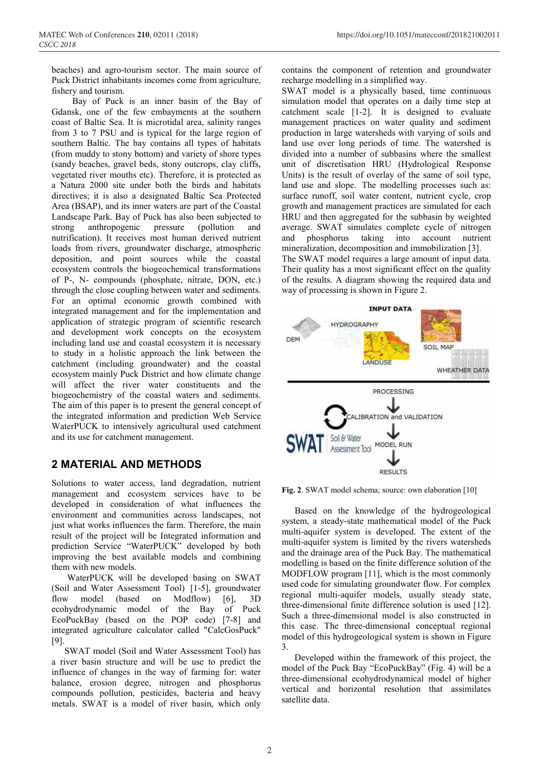beaches) and agro-tourism sector. The main source of Puck District inhabitants incomes come from agriculture, fishery and tourism.

Bay of Puck is an inner basin of the Bay of Gdansk, one of the few embayments at the southern coast of Baltic Sea. It is microtidal area, salinity ranges from 3 to 7 PSU and is typical for the large region of southern Baltic. The bay contains all types of habitats (from muddy to stony bottom) and variety of shore types (sandy beaches, gravel beds, stony outcrops, clay cliffs, vegetated river mouths etc). Therefore, it is protected as a Natura 2000 site under both the birds and habitats directives; it is also a designated Baltic Sea Protected Area (BSAP), and its inner waters are part of the Coastal Landscape Park. Bay of Puck has also been subjected to strong anthropogenic pressure (pollution and nutrification). It receives most human derived nutrient loads from rivers, groundwater discharge, atmospheric deposition, and point sources while the coastal ecosystem controls the biogeochemical transformations of P-, N- compounds (phosphate, nitrate, DON, etc.) through the close coupling between water and sediments. For an optimal economic growth combined with integrated management and for the implementation and application of strategic program of scientific research and development work concepts on the ecosystem including land use and coastal ecosystem it is necessary to study in a holistic approach the link between the catchment (including groundwater) and the coastal ecosystem mainly Puck District and how climate change will affect the river water constituents and the biogeochemistry of the coastal waters and sediments. The aim of this paper is to present the general concept of the integrated information and prediction Web Service WaterPUCK to intensively agricultural used catchment and its use for catchment management.

# **2 MATERIAL AND METHODS**

Solutions to water access, land degradation, nutrient management and ecosystem services have to be developed in consideration of what influences the environment and communities across landscapes, not just what works influences the farm. Therefore, the main result of the project will be Integrated information and prediction Service "WaterPUCK" developed by both improving the best available models and combining them with new models.

WaterPUCK will be developed basing on SWAT (Soil and Water Assessment Tool) [1-5], groundwater flow model (based on Modflow) [6], 3D ecohydrodynamic model of the Bay of Puck EcoPuckBay (based on the POP code) [7-8] and integrated agriculture calculator called "CalcGosPuck" [9].

SWAT model (Soil and Water Assessment Tool) has a river basin structure and will be use to predict the influence of changes in the way of farming for: water balance, erosion degree, nitrogen and phosphorus compounds pollution, pesticides, bacteria and heavy metals. SWAT is a model of river basin, which only

contains the component of retention and groundwater recharge modelling in a simplified way.

SWAT model is a physically based, time continuous simulation model that operates on a daily time step at catchment scale [1-2]. It is designed to evaluate management practices on water quality and sediment production in large watersheds with varying of soils and land use over long periods of time. The watershed is divided into a number of subbasins where the smallest unit of discretisation HRU (Hydrological Response Units) is the result of overlay of the same of soil type, land use and slope. The modelling processes such as: surface runoff, soil water content, nutrient cycle, crop growth and management practices are simulated for each HRU and then aggregated for the subbasin by weighted average. SWAT simulates complete cycle of nitrogen and phosphorus taking into account nutrient mineralization, decomposition and immobilization [3].

The SWAT model requires a large amount of input data. Their quality has a most significant effect on the quality of the results. A diagram showing the required data and way of processing is shown in Figure 2.



Fig. 2. SWAT model schema; source: own elaboration [10]

Based on the knowledge of the hydrogeological system, a steady-state mathematical model of the Puck multi-aquifer system is developed. The extent of the multi-aquifer system is limited by the rivers watersheds and the drainage area of the Puck Bay. The mathematical modelling is based on the finite difference solution of the MODFLOW program [11], which is the most commonly used code for simulating groundwater flow. For complex regional multi-aquifer models, usually steady state, three-dimensional finite difference solution is used [12]. Such a three-dimensional model is also constructed in this case. The three-dimensional conceptual regional model of this hydrogeological system is shown in Figure 3.

Developed within the framework of this project, the model of the Puck Bay "EcoPuckBay" (Fig. 4) will be a three-dimensional ecohydrodynamical model of higher vertical and horizontal resolution that assimilates satellite data.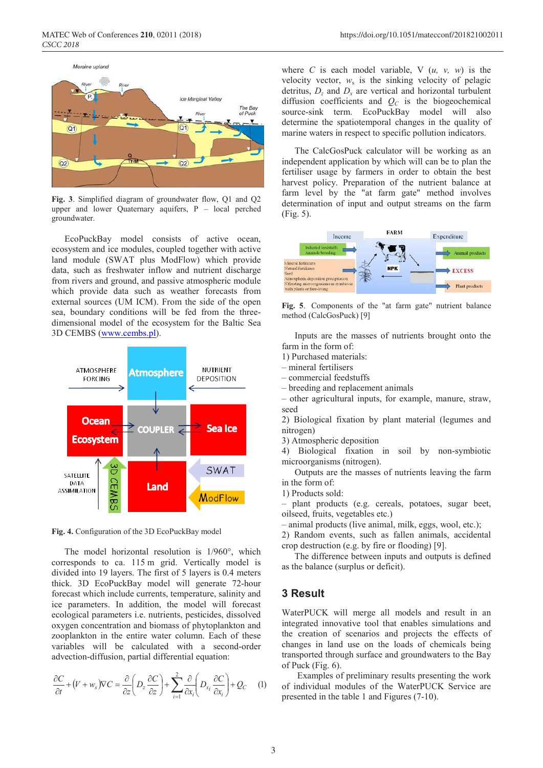

**Fig. 3**. Simplified diagram of groundwater flow, Q1 and Q2 upper and lower Quaternary aquifers, P – local perched groundwater.

EcoPuckBay model consists of active ocean, ecosystem and ice modules, coupled together with active land module (SWAT plus ModFlow) which provide data, such as freshwater inflow and nutrient discharge from rivers and ground, and passive atmospheric module which provide data such as weather forecasts from external sources (UM ICM). From the side of the open sea, boundary conditions will be fed from the threedimensional model of the ecosystem for the Baltic Sea 3D CEMBS (www.cembs.pl).



**Fig. 4.** Configuration of the 3D EcoPuckBay model

The model horizontal resolution is 1/960°, which corresponds to ca. 115 m grid. Vertically model is divided into 19 layers. The first of 5 layers is 0.4 meters thick. 3D EcoPuckBay model will generate 72-hour forecast which include currents, temperature, salinity and ice parameters. In addition, the model will forecast ecological parameters i.e. nutrients, pesticides, dissolved oxygen concentration and biomass of phytoplankton and zooplankton in the entire water column. Each of these variables will be calculated with a second-order advection-diffusion, partial differential equation:

$$
\frac{\partial C}{\partial t} + (V + w_s)\nabla C = \frac{\partial}{\partial z}\left(D_z \frac{\partial C}{\partial z}\right) + \sum_{i=1}^2 \frac{\partial}{\partial x_i}\left(D_{x_i} \frac{\partial C}{\partial x_i}\right) + Q_C \quad (1)
$$

where *C* is each model variable, V  $(u, v, w)$  is the velocity vector,  $w_s$  is the sinking velocity of pelagic detritus,  $D_z$  and  $D_x$  are vertical and horizontal turbulent diffusion coefficients and  $Q_c$  is the biogeochemical source-sink term. EcoPuckBay model will also determine the spatiotemporal changes in the quality of marine waters in respect to specific pollution indicators.

The CalcGosPuck calculator will be working as an independent application by which will can be to plan the fertiliser usage by farmers in order to obtain the best harvest policy. Preparation of the nutrient balance at farm level by the "at farm gate" method involves determination of input and output streams on the farm (Fig. 5).



**Fig. 5**. Components of the "at farm gate" nutrient balance method (CalcGosPuck) [9]

Inputs are the masses of nutrients brought onto the farm in the form of:

1) Purchased materials:

- mineral fertilisers
- commercial feedstuffs
- breeding and replacement animals

– other agricultural inputs, for example, manure, straw, seed

2) Biological fixation by plant material (legumes and nitrogen)

3) Atmospheric deposition

4) Biological fixation in soil by non-symbiotic microorganisms (nitrogen).

Outputs are the masses of nutrients leaving the farm in the form of:

1) Products sold:

– plant products (e.g. cereals, potatoes, sugar beet, oilseed, fruits, vegetables etc.)

– animal products (live animal, milk, eggs, wool, etc.);

2) Random events, such as fallen animals, accidental crop destruction (e.g. by fire or flooding) [9].

The difference between inputs and outputs is defined as the balance (surplus or deficit).

#### **3 Result**

WaterPUCK will merge all models and result in an integrated innovative tool that enables simulations and the creation of scenarios and projects the effects of changes in land use on the loads of chemicals being transported through surface and groundwaters to the Bay of Puck (Fig. 6).

Examples of preliminary results presenting the work of individual modules of the WaterPUCK Service are presented in the table 1 and Figures (7-10).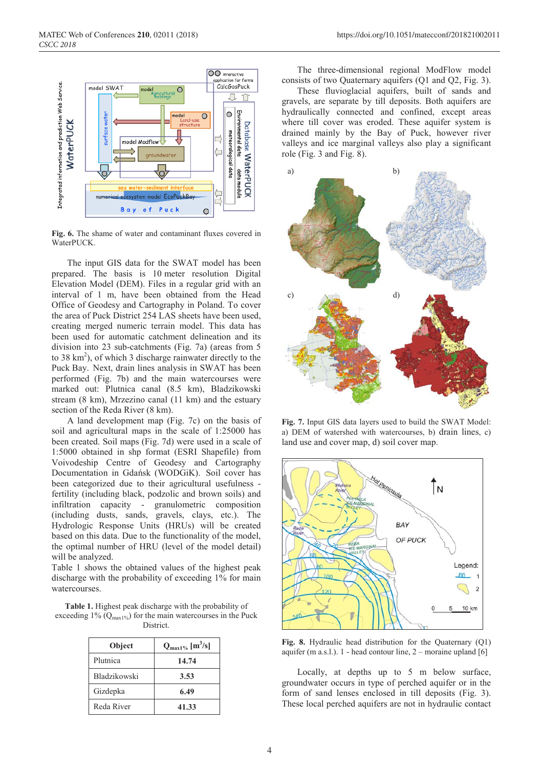

**Fig. 6.** The shame of water and contaminant fluxes covered in WaterPUCK.

The input GIS data for the SWAT model has been prepared. The basis is 10 meter resolution Digital Elevation Model (DEM). Files in a regular grid with an interval of 1 m, have been obtained from the Head Office of Geodesy and Cartography in Poland. To cover the area of Puck District 254 LAS sheets have been used, creating merged numeric terrain model. This data has been used for automatic catchment delineation and its division into 23 sub-catchments (Fig. 7a) (areas from 5 to 38  $\text{km}^2$ ), of which 3 discharge rainwater directly to the Puck Bay. Next, drain lines analysis in SWAT has been performed (Fig. 7b) and the main watercourses were marked out: Plutnica canal (8.5 km), Bladzikowski stream (8 km), Mrzezino canal (11 km) and the estuary section of the Reda River (8 km).

A land development map (Fig. 7c) on the basis of soil and agricultural maps in the scale of 1:25000 has been created. Soil maps (Fig. 7d) were used in a scale of 1:5000 obtained in shp format (ESRI Shapefile) from Voivodeship Centre of Geodesy and Cartography Documentation in Gdańsk (WODGiK). Soil cover has been categorized due to their agricultural usefulness fertility (including black, podzolic and brown soils) and infiltration capacity - granulometric composition (including dusts, sands, gravels, clays, etc.). The Hydrologic Response Units (HRUs) will be created based on this data. Due to the functionality of the model, the optimal number of HRU (level of the model detail) will be analyzed.

Table 1 shows the obtained values of the highest peak discharge with the probability of exceeding 1% for main watercourses.

**Table 1.** Highest peak discharge with the probability of exceeding  $1\%$  ( $Q_{max1\%}$ ) for the main watercourses in the Puck District.

| Object              | $Q_{max1\%}$ [m <sup>3</sup> /s] |
|---------------------|----------------------------------|
| Plutnica            | 14.74                            |
| <b>Bladzikowski</b> | 3.53                             |
| Gizdepka            | 6.49                             |
| Reda River          | 41.33                            |

The three-dimensional regional ModFlow model consists of two Quaternary aquifers (Q1 and Q2, Fig. 3).

These fluvioglacial aquifers, built of sands and gravels, are separate by till deposits. Both aquifers are hydraulically connected and confined, except areas where till cover was eroded. These aquifer system is drained mainly by the Bay of Puck, however river valleys and ice marginal valleys also play a significant role (Fig. 3 and Fig. 8).



**Fig. 7.** Input GIS data layers used to build the SWAT Model: a) DEM of watershed with watercourses, b) drain lines, c) land use and cover map, d) soil cover map.



**Fig. 8.** Hydraulic head distribution for the Quaternary (Q1) aquifer (m a.s.l.).  $1$  - head contour line,  $2$  – moraine upland [6]

Locally, at depths up to 5 m below surface, groundwater occurs in type of perched aquifer or in the form of sand lenses enclosed in till deposits (Fig. 3). These local perched aquifers are not in hydraulic contact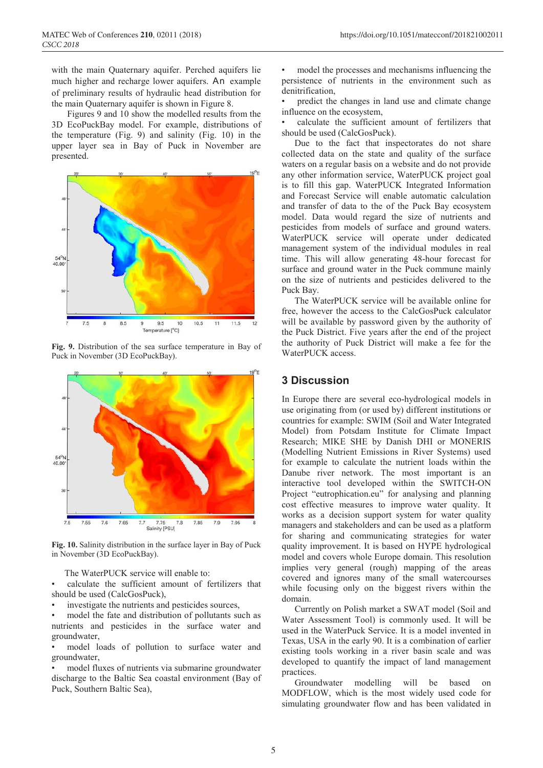with the main Quaternary aquifer. Perched aquifers lie much higher and recharge lower aquifers. An example of preliminary results of hydraulic head distribution for the main Quaternary aquifer is shown in Figure 8.

Figures 9 and 10 show the modelled results from the 3D EcoPuckBay model. For example, distributions of the temperature (Fig. 9) and salinity (Fig. 10) in the upper layer sea in Bay of Puck in November are presented.



**Fig. 9.** Distribution of the sea surface temperature in Bay of Puck in November (3D EcoPuckBay).



**Fig. 10.** Salinity distribution in the surface layer in Bay of Puck in November (3D EcoPuckBay).

The WaterPUCK service will enable to:

• calculate the sufficient amount of fertilizers that should be used (CalcGosPuck),

investigate the nutrients and pesticides sources,

• model the fate and distribution of pollutants such as nutrients and pesticides in the surface water and groundwater,

model loads of pollution to surface water and groundwater,

model fluxes of nutrients via submarine groundwater discharge to the Baltic Sea coastal environment (Bay of Puck, Southern Baltic Sea),

model the processes and mechanisms influencing the persistence of nutrients in the environment such as denitrification,

• predict the changes in land use and climate change influence on the ecosystem,

• calculate the sufficient amount of fertilizers that should be used (CalcGosPuck).

Due to the fact that inspectorates do not share collected data on the state and quality of the surface waters on a regular basis on a website and do not provide any other information service, WaterPUCK project goal is to fill this gap. WaterPUCK Integrated Information and Forecast Service will enable automatic calculation and transfer of data to the of the Puck Bay ecosystem model. Data would regard the size of nutrients and pesticides from models of surface and ground waters. WaterPUCK service will operate under dedicated management system of the individual modules in real time. This will allow generating 48-hour forecast for surface and ground water in the Puck commune mainly on the size of nutrients and pesticides delivered to the Puck Bay.

The WaterPUCK service will be available online for free, however the access to the CalcGosPuck calculator will be available by password given by the authority of the Puck District. Five years after the end of the project the authority of Puck District will make a fee for the WaterPUCK access.

## **3 Discussion**

In Europe there are several eco-hydrological models in use originating from (or used by) different institutions or countries for example: SWIM (Soil and Water Integrated Model) from Potsdam Institute for Climate Impact Research; MIKE SHE by Danish DHI or MONERIS (Modelling Nutrient Emissions in River Systems) used for example to calculate the nutrient loads within the Danube river network. The most important is an interactive tool developed within the SWITCH-ON Project "eutrophication.eu" for analysing and planning cost effective measures to improve water quality. It works as a decision support system for water quality managers and stakeholders and can be used as a platform for sharing and communicating strategies for water quality improvement. It is based on HYPE hydrological model and covers whole Europe domain. This resolution implies very general (rough) mapping of the areas covered and ignores many of the small watercourses while focusing only on the biggest rivers within the domain.

Currently on Polish market a SWAT model (Soil and Water Assessment Tool) is commonly used. It will be used in the WaterPuck Service. It is a model invented in Texas, USA in the early 90. It is a combination of earlier existing tools working in a river basin scale and was developed to quantify the impact of land management practices.

Groundwater modelling will be based on MODFLOW, which is the most widely used code for simulating groundwater flow and has been validated in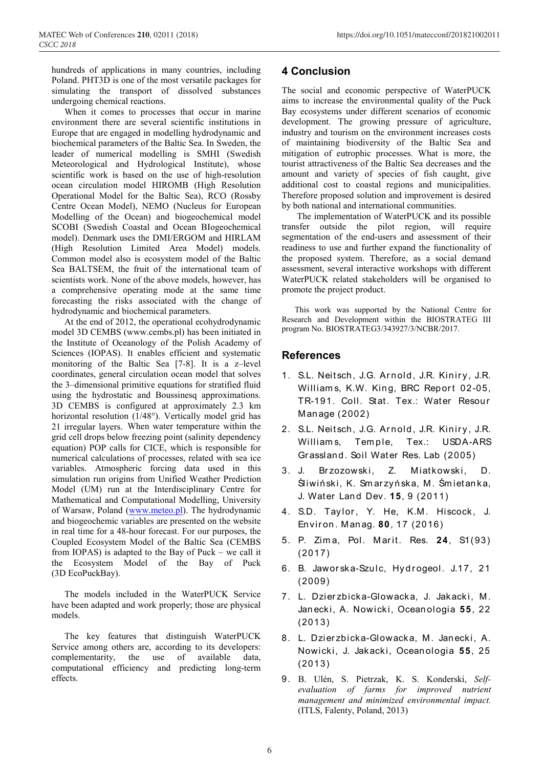hundreds of applications in many countries, including Poland. PHT3D is one of the most versatile packages for simulating the transport of dissolved substances undergoing chemical reactions.

When it comes to processes that occur in marine environment there are several scientific institutions in Europe that are engaged in modelling hydrodynamic and biochemical parameters of the Baltic Sea. In Sweden, the leader of numerical modelling is SMHI (Swedish Meteorological and Hydrological Institute), whose scientific work is based on the use of high-resolution ocean circulation model HIROMB (High Resolution Operational Model for the Baltic Sea), RCO (Rossby Centre Ocean Model), NEMO (Nucleus for European Modelling of the Ocean) and biogeochemical model SCOBI (Swedish Coastal and Ocean BIogeochemical model). Denmark uses the DMI/ERGOM and HIRLAM (High Resolution Limited Area Model) models. Common model also is ecosystem model of the Baltic Sea BALTSEM, the fruit of the international team of scientists work. None of the above models, however, has a comprehensive operating mode at the same time forecasting the risks associated with the change of hydrodynamic and biochemical parameters.

At the end of 2012, the operational ecohydrodynamic model 3D CEMBS (www.cembs.pl) has been initiated in the Institute of Oceanology of the Polish Academy of Sciences (IOPAS). It enables efficient and systematic monitoring of the Baltic Sea [7-8]. It is a z–level coordinates, general circulation ocean model that solves the 3–dimensional primitive equations for stratified fluid using the hydrostatic and Boussinesq approximations. 3D CEMBS is configured at approximately 2.3 km horizontal resolution (1/48°). Vertically model grid has 21 irregular layers. When water temperature within the grid cell drops below freezing point (salinity dependency equation) POP calls for CICE, which is responsible for numerical calculations of processes, related with sea ice variables. Atmospheric forcing data used in this simulation run origins from Unified Weather Prediction Model (UM) run at the Interdisciplinary Centre for Mathematical and Computational Modelling, University of Warsaw, Poland (www.meteo.pl). The hydrodynamic and biogeochemic variables are presented on the website in real time for a 48-hour forecast. For our purposes, the Coupled Ecosystem Model of the Baltic Sea (CEMBS from IOPAS) is adapted to the Bay of Puck – we call it the Ecosystem Model of the Bay of Puck (3D EcoPuckBay).

The models included in the WaterPUCK Service have been adapted and work properly; those are physical models.

The key features that distinguish WaterPUCK Service among others are, according to its developers: complementarity, the use of available data, computational efficiency and predicting long-term effects.

# **4 Conclusion**

The social and economic perspective of WaterPUCK aims to increase the environmental quality of the Puck Bay ecosystems under different scenarios of economic development. The growing pressure of agriculture, industry and tourism on the environment increases costs of maintaining biodiversity of the Baltic Sea and mitigation of eutrophic processes. What is more, the tourist attractiveness of the Baltic Sea decreases and the amount and variety of species of fish caught, give additional cost to coastal regions and municipalities. Therefore proposed solution and improvement is desired by both national and international communities.

The implementation of WaterPUCK and its possible transfer outside the pilot region, will require segmentation of the end-users and assessment of their readiness to use and further expand the functionality of the proposed system. Therefore, as a social demand assessment, several interactive workshops with different WaterPUCK related stakeholders will be organised to promote the project product.

This work was supported by the National Centre for Research and Development within the BIOSTRATEG III program No. BIOSTRATEG3/343927/3/NCBR/2017.

## **References**

- 1. S.L. Neitsch, J.G. Arnold, J.R. Kiniry, J.R. Williams, K.W. King, BRC Report 02-05, TR-191. Coll. Stat. Tex.: Water Resour Manage (2002)
- 2. S.L. Neitsch, J.G. Arnold, J.R. Kiniry, J.R. Williams, Temple, Tex.: USDA-ARS Grassland. Soil Water Res. Lab (2005)
- 3. J. Br zozowski, Z. M iatkowski, D. Śliwiński, K. Smarzyńska, M. Śmietanka, J. Water Lan d Dev. **15**, 9 (2011)
- 4. S.D. Taylor, Y. He, K.M. Hiscock, J. En vir on . M an ag. **80**, 17 (2016)
- 5. P. Zim a, Pol. M ar it. Res. **24**, S1(93) (2017)
- 6. B. Jaworska-Szulc, Hydrogeol. J.17, 21 (2009)
- 7. L. Dzier zbicka-Glowacka, J. Jakacki, M. Jan ecki, A. Nowicki, Ocean ologia **55**, 22 (2013)
- 8. L. Dzierzbicka-Glowacka, M. Janecki, A. Nowicki, J. Jakack i, Oceanologia **55**, 25 (2013)
- 9. B. Ulén, S. Pietrzak, K. S. Konderski, *Selfevaluation of farms for improved nutrient management and minimized environmental impact.* (ITLS, Falenty, Poland, 2013)